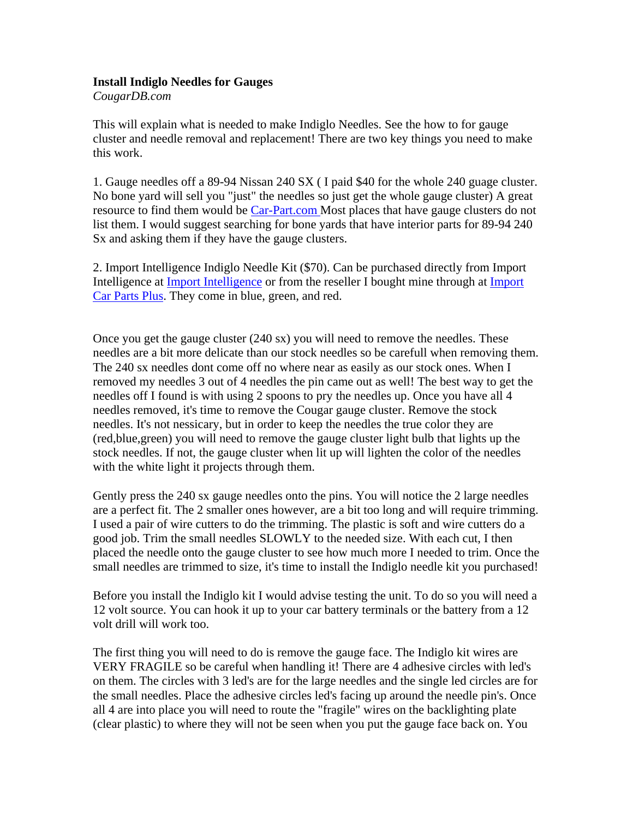## **Install Indiglo Needles for Gauges**

*CougarDB.com*

This will explain what is needed to make Indiglo Needles. See the how to for gauge cluster and needle removal and replacement! There are two key things you need to make this work.

1. Gauge needles off a 89-94 Nissan 240 SX ( I paid \$40 for the whole 240 guage cluster. No bone yard will sell you "just" the needles so just get the whole gauge cluster) A great resource to find them would be Car-Part.com Most places that have gauge clusters do not list them. I would suggest searching for bone yards that have interior parts for 89-94 240 Sx and asking them if they have the gauge clusters.

2. Import Intelligence Indiglo Needle Kit (\$70). Can be purchased directly from Import Intelligence at Import Intelligence or from the reseller I bought mine through at Import Car Parts Plus. They come in blue, green, and red.

Once you get the gauge cluster (240 sx) you will need to remove the needles. These needles are a bit more delicate than our stock needles so be carefull when removing them. The 240 sx needles dont come off no where near as easily as our stock ones. When I removed my needles 3 out of 4 needles the pin came out as well! The best way to get the needles off I found is with using 2 spoons to pry the needles up. Once you have all 4 needles removed, it's time to remove the Cougar gauge cluster. Remove the stock needles. It's not nessicary, but in order to keep the needles the true color they are (red,blue,green) you will need to remove the gauge cluster light bulb that lights up the stock needles. If not, the gauge cluster when lit up will lighten the color of the needles with the white light it projects through them.

Gently press the 240 sx gauge needles onto the pins. You will notice the 2 large needles are a perfect fit. The 2 smaller ones however, are a bit too long and will require trimming. I used a pair of wire cutters to do the trimming. The plastic is soft and wire cutters do a good job. Trim the small needles SLOWLY to the needed size. With each cut, I then placed the needle onto the gauge cluster to see how much more I needed to trim. Once the small needles are trimmed to size, it's time to install the Indiglo needle kit you purchased!

Before you install the Indiglo kit I would advise testing the unit. To do so you will need a 12 volt source. You can hook it up to your car battery terminals or the battery from a 12 volt drill will work too.

The first thing you will need to do is remove the gauge face. The Indiglo kit wires are VERY FRAGILE so be careful when handling it! There are 4 adhesive circles with led's on them. The circles with 3 led's are for the large needles and the single led circles are for the small needles. Place the adhesive circles led's facing up around the needle pin's. Once all 4 are into place you will need to route the "fragile" wires on the backlighting plate (clear plastic) to where they will not be seen when you put the gauge face back on. You